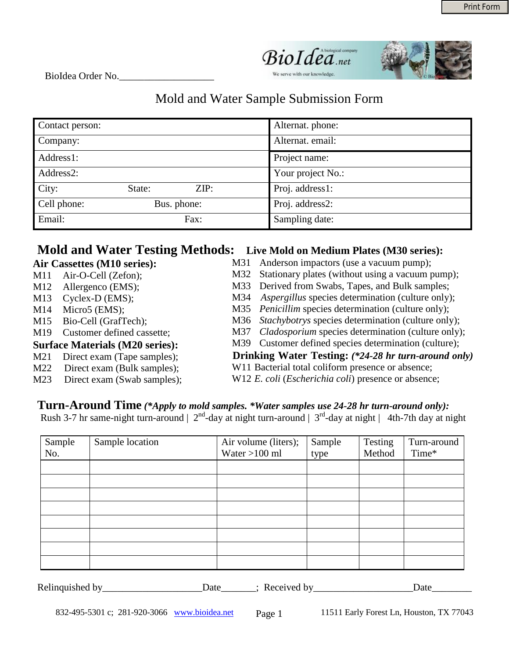

BioIdea Order No.\_\_\_\_\_\_\_\_\_\_\_\_\_\_\_\_\_\_\_

## Mold and Water Sample Submission Form

| Contact person: |             |      | Alternat. phone:  |
|-----------------|-------------|------|-------------------|
| Company:        |             |      | Alternat. email:  |
| Address1:       |             |      | Project name:     |
| Address2:       |             |      | Your project No.: |
| City:           | State:      | ZIP: | Proj. address1:   |
| Cell phone:     | Bus. phone: |      | Proj. address2:   |
| Email:          |             | Fax: | Sampling date:    |

## **Mold and Water Testing Methods: Live Mold on Medium Plates (M30 series):**

|     | Air Cassettes (M10 series):            | M31 | Anderson impactors (use a vacuum pump);                |
|-----|----------------------------------------|-----|--------------------------------------------------------|
| M11 | Air-O-Cell (Zefon);                    | M32 | Stationary plates (without using a vacuum pump);       |
| M12 | Allergenco (EMS);                      |     | M33 Derived from Swabs, Tapes, and Bulk samples;       |
| M13 | $Cycles-D (EMS);$                      |     | M34 Aspergillus species determination (culture only);  |
| M14 | Micro $5$ (EMS);                       |     | M35 Penicillim species determination (culture only);   |
| M15 | Bio-Cell (GrafTech);                   |     | M36 Stachybotrys species determination (culture only); |
| M19 | Customer defined cassette;             |     | M37 Cladosporium species determination (culture only); |
|     | <b>Surface Materials (M20 series):</b> |     | M39 Customer defined species determination (culture);  |
| M21 | Direct exam (Tape samples);            |     | Drinking Water Testing: (*24-28 hr turn-around only)   |
| M22 | Direct exam (Bulk samples);            |     | W11 Bacterial total coliform presence or absence;      |
| M23 | Direct exam (Swab samples);            |     | W12 E. coli (Escherichia coli) presence or absence;    |
|     |                                        |     |                                                        |

## **Turn-Around Time** *(\*Apply to mold samples. \*Water samples use 24-28 hr turn-around only):*

Rush 3-7 hr same-night turn-around  $\vert 2^{nd}$ -day at night turn-around  $\vert 3^{rd}$ -day at night  $\vert 4th$ -7th day at night

| Sample<br>No. | Sample location | Air volume (liters);<br>Water $>100$ ml | Sample<br>type | Testing<br>Method | Turn-around<br>Time* |
|---------------|-----------------|-----------------------------------------|----------------|-------------------|----------------------|
|               |                 |                                         |                |                   |                      |
|               |                 |                                         |                |                   |                      |
|               |                 |                                         |                |                   |                      |
|               |                 |                                         |                |                   |                      |
|               |                 |                                         |                |                   |                      |
|               |                 |                                         |                |                   |                      |
|               |                 |                                         |                |                   |                      |
|               |                 |                                         |                |                   |                      |

| Relino<br>hv | ⊾∩د۱ | <b>Let u</b><br>. | 1 <sub>0</sub><br>uu |
|--------------|------|-------------------|----------------------|
|              |      |                   |                      |